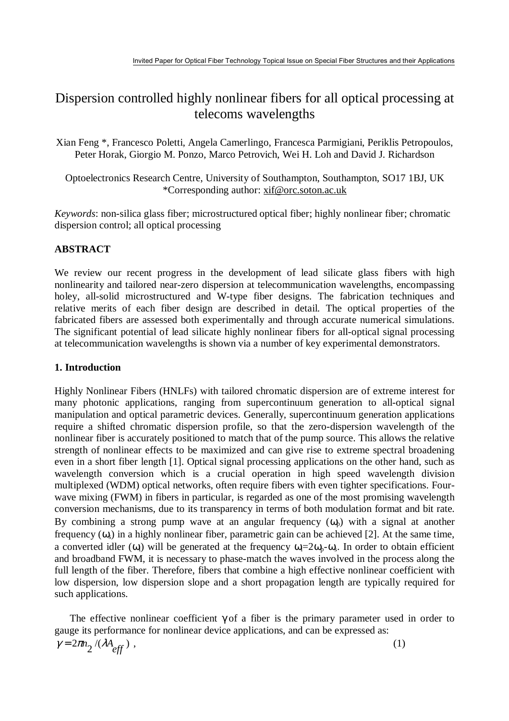# Dispersion controlled highly nonlinear fibers for all optical processing at telecoms wavelengths

Xian Feng \*, Francesco Poletti, Angela Camerlingo, Francesca Parmigiani, Periklis Petropoulos, Peter Horak, Giorgio M. Ponzo, Marco Petrovich, Wei H. Loh and David J. Richardson

Optoelectronics Research Centre, University of Southampton, Southampton, SO17 1BJ, UK \*Corresponding author: xif@orc.soton.ac.uk

*Keywords*: non-silica glass fiber; microstructured optical fiber; highly nonlinear fiber; chromatic dispersion control; all optical processing

# **ABSTRACT**

We review our recent progress in the development of lead silicate glass fibers with high nonlinearity and tailored near-zero dispersion at telecommunication wavelengths, encompassing holey, all-solid microstructured and W-type fiber designs. The fabrication techniques and relative merits of each fiber design are described in detail. The optical properties of the fabricated fibers are assessed both experimentally and through accurate numerical simulations. The significant potential of lead silicate highly nonlinear fibers for all-optical signal processing at telecommunication wavelengths is shown via a number of key experimental demonstrators.

# **1. Introduction**

Highly Nonlinear Fibers (HNLFs) with tailored chromatic dispersion are of extreme interest for many photonic applications, ranging from supercontinuum generation to all-optical signal manipulation and optical parametric devices. Generally, supercontinuum generation applications require a shifted chromatic dispersion profile, so that the zero-dispersion wavelength of the nonlinear fiber is accurately positioned to match that of the pump source. This allows the relative strength of nonlinear effects to be maximized and can give rise to extreme spectral broadening even in a short fiber length [1]. Optical signal processing applications on the other hand, such as wavelength conversion which is a crucial operation in high speed wavelength division multiplexed (WDM) optical networks, often require fibers with even tighter specifications. Fourwave mixing (FWM) in fibers in particular, is regarded as one of the most promising wavelength conversion mechanisms, due to its transparency in terms of both modulation format and bit rate. By combining a strong pump wave at an angular frequency  $(\omega_p)$  with a signal at another frequency  $(\omega_s)$  in a highly nonlinear fiber, parametric gain can be achieved [2]. At the same time, a converted idler  $(\omega_i)$  will be generated at the frequency  $\omega_i=2\omega_b-\omega_s$ . In order to obtain efficient and broadband FWM, it is necessary to phase-match the waves involved in the process along the full length of the fiber. Therefore, fibers that combine a high effective nonlinear coefficient with low dispersion, low dispersion slope and a short propagation length are typically required for such applications.

The effective nonlinear coefficient  $\gamma$  of a fiber is the primary parameter used in order to gauge its performance for nonlinear device applications, and can be expressed as:  $\gamma = 2\pi n_2 / (\lambda A_{eff})$ , (1)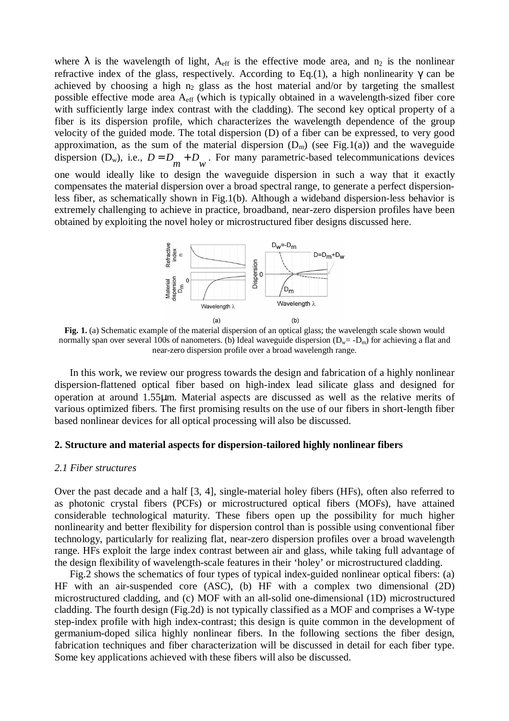where  $\lambda$  is the wavelength of light, A<sub>eff</sub> is the effective mode area, and n<sub>2</sub> is the nonlinear refractive index of the glass, respectively. According to Eq.(1), a high nonlinearity  $\gamma$  can be achieved by choosing a high  $n_2$  glass as the host material and/or by targeting the smallest possible effective mode area  $A<sub>eff</sub>$  (which is typically obtained in a wavelength-sized fiber core with sufficiently large index contrast with the cladding). The second key optical property of a fiber is its dispersion profile, which characterizes the wavelength dependence of the group velocity of the guided mode. The total dispersion (D) of a fiber can be expressed, to very good approximation, as the sum of the material dispersion  $(D_m)$  (see Fig.1(a)) and the waveguide dispersion (D<sub>w</sub>), i.e.,  $D = D_m + D_w$ . For many parametric-based telecommunications devices one would ideally like to design the waveguide dispersion in such a way that it exactly compensates the material dispersion over a broad spectral range, to generate a perfect dispersionless fiber, as schematically shown in Fig.1(b). Although a wideband dispersion-less behavior is extremely challenging to achieve in practice, broadband, near-zero dispersion profiles have been obtained by exploiting the novel holey or microstructured fiber designs discussed here.



**Fig. 1.** (a) Schematic example of the material dispersion of an optical glass; the wavelength scale shown would normally span over several 100s of nanometers. (b) Ideal waveguide dispersion  $(D_w = -D_m)$  for achieving a flat and near-zero dispersion profile over a broad wavelength range.

In this work, we review our progress towards the design and fabrication of a highly nonlinear dispersion-flattened optical fiber based on high-index lead silicate glass and designed for operation at around 1.55µm. Material aspects are discussed as well as the relative merits of various optimized fibers. The first promising results on the use of our fibers in short-length fiber based nonlinear devices for all optical processing will also be discussed.

#### **2. Structure and material aspects for dispersion-tailored highly nonlinear fibers**

#### *2.1 Fiber structures*

Over the past decade and a half [3, 4], single-material holey fibers (HFs), often also referred to as photonic crystal fibers (PCFs) or microstructured optical fibers (MOFs), have attained considerable technological maturity. These fibers open up the possibility for much higher nonlinearity and better flexibility for dispersion control than is possible using conventional fiber technology, particularly for realizing flat, near-zero dispersion profiles over a broad wavelength range. HFs exploit the large index contrast between air and glass, while taking full advantage of the design flexibility of wavelength-scale features in their 'holey' or microstructured cladding.

Fig.2 shows the schematics of four types of typical index-guided nonlinear optical fibers: (a) HF with an air-suspended core (ASC), (b) HF with a complex two dimensional (2D) microstructured cladding, and (c) MOF with an all-solid one-dimensional (1D) microstructured cladding. The fourth design (Fig.2d) is not typically classified as a MOF and comprises a W-type step-index profile with high index-contrast; this design is quite common in the development of germanium-doped silica highly nonlinear fibers. In the following sections the fiber design, fabrication techniques and fiber characterization will be discussed in detail for each fiber type. Some key applications achieved with these fibers will also be discussed.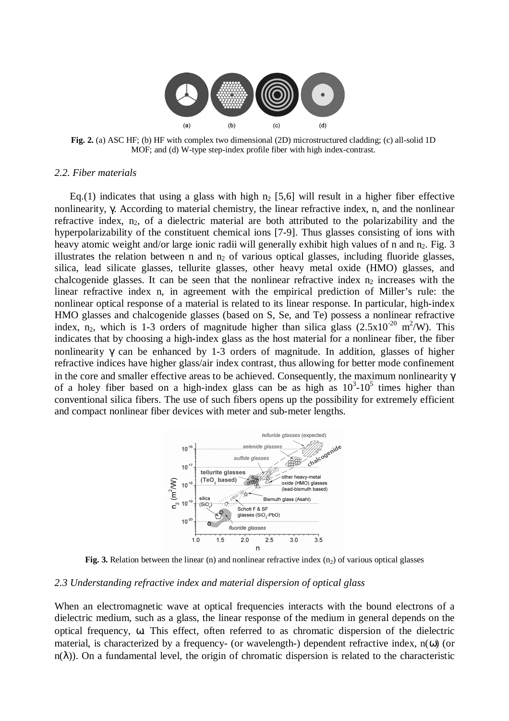

**Fig. 2.** (a) ASC HF; (b) HF with complex two dimensional (2D) microstructured cladding; (c) all-solid 1D MOF; and (d) W-type step-index profile fiber with high index-contrast.

## *2.2. Fiber materials*

Eq.(1) indicates that using a glass with high  $n_2$  [5,6] will result in a higher fiber effective nonlinearity, γ. According to material chemistry, the linear refractive index, n, and the nonlinear refractive index,  $n_2$ , of a dielectric material are both attributed to the polarizability and the hyperpolarizability of the constituent chemical ions [7-9]. Thus glasses consisting of ions with heavy atomic weight and/or large ionic radii will generally exhibit high values of n and  $n_2$ . Fig. 3 illustrates the relation between n and  $n_2$  of various optical glasses, including fluoride glasses, silica, lead silicate glasses, tellurite glasses, other heavy metal oxide (HMO) glasses, and chalcogenide glasses. It can be seen that the nonlinear refractive index  $n_2$  increases with the linear refractive index n, in agreement with the empirical prediction of Miller's rule: the nonlinear optical response of a material is related to its linear response. In particular, high-index HMO glasses and chalcogenide glasses (based on S, Se, and Te) possess a nonlinear refractive index,  $n_2$ , which is 1-3 orders of magnitude higher than silica glass  $(2.5 \times 10^{-20} \text{ m}^2/\text{W})$ . This indicates that by choosing a high-index glass as the host material for a nonlinear fiber, the fiber nonlinearity γ can be enhanced by 1-3 orders of magnitude. In addition, glasses of higher refractive indices have higher glass/air index contrast, thus allowing for better mode confinement in the core and smaller effective areas to be achieved. Consequently, the maximum nonlinearity γ of a holey fiber based on a high-index glass can be as high as  $10^3$ - $10^5$  times higher than conventional silica fibers. The use of such fibers opens up the possibility for extremely efficient and compact nonlinear fiber devices with meter and sub-meter lengths.



**Fig. 3.** Relation between the linear (n) and nonlinear refractive index  $(n_2)$  of various optical glasses

# *2.3 Understanding refractive index and material dispersion of optical glass*

When an electromagnetic wave at optical frequencies interacts with the bound electrons of a dielectric medium, such as a glass, the linear response of the medium in general depends on the optical frequency, ω. This effect, often referred to as chromatic dispersion of the dielectric material, is characterized by a frequency- (or wavelength-) dependent refractive index, n(ω) (or  $n(\lambda)$ ). On a fundamental level, the origin of chromatic dispersion is related to the characteristic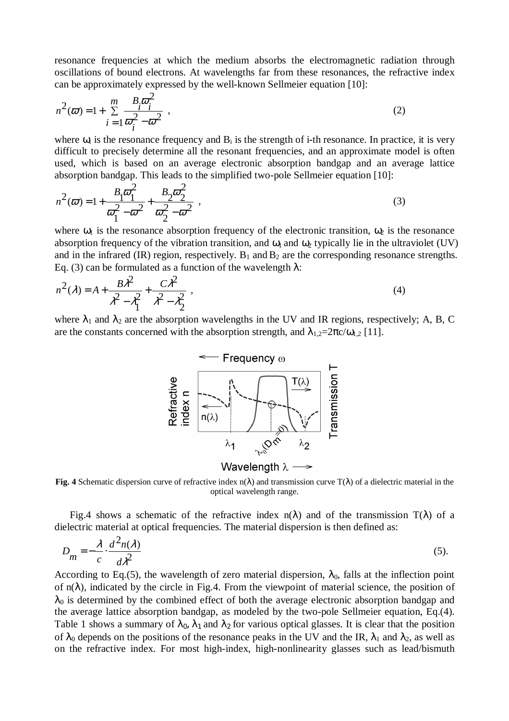resonance frequencies at which the medium absorbs the electromagnetic radiation through oscillations of bound electrons. At wavelengths far from these resonances, the refractive index can be approximately expressed by the well-known Sellmeier equation [10]:

$$
n^{2}(\varpi) = 1 + \sum_{i=1}^{m} \frac{B_{i} \varpi_{i}^{2}}{\varpi_{i}^{2} - \varpi^{2}} , \qquad (2)
$$

where  $\omega_i$  is the resonance frequency and  $B_i$  is the strength of i-th resonance. In practice, it is very difficult to precisely determine all the resonant frequencies, and an approximate model is often used, which is based on an average electronic absorption bandgap and an average lattice absorption bandgap. This leads to the simplified two-pole Sellmeier equation [10]:

$$
n^{2}(\varpi) = 1 + \frac{B_{1}\varpi_{1}^{2}}{\varpi_{1}^{2} - \varpi^{2}} + \frac{B_{2}\varpi_{2}^{2}}{\varpi_{2}^{2} - \varpi^{2}} , \tag{3}
$$

where  $\omega_1$  is the resonance absorption frequency of the electronic transition,  $\omega_2$  is the resonance absorption frequency of the vibration transition, and  $\omega_1$  and  $\omega_2$  typically lie in the ultraviolet (UV) and in the infrared (IR) region, respectively.  $B_1$  and  $B_2$  are the corresponding resonance strengths. Eq. (3) can be formulated as a function of the wavelength λ:

$$
n^{2}(\lambda) = A + \frac{B\lambda^{2}}{\lambda^{2} - \lambda_{1}^{2}} + \frac{C\lambda^{2}}{\lambda^{2} - \lambda_{2}^{2}} ,
$$
\n(4)

where  $\lambda_1$  and  $\lambda_2$  are the absorption wavelengths in the UV and IR regions, respectively; A, B, C are the constants concerned with the absorption strength, and  $\lambda_{1,2} = 2\pi c/\omega_{1,2}$  [11].



**Fig. 4** Schematic dispersion curve of refractive index n( $\lambda$ ) and transmission curve T( $\lambda$ ) of a dielectric material in the optical wavelength range.

Fig.4 shows a schematic of the refractive index  $n(\lambda)$  and of the transmission  $T(\lambda)$  of a dielectric material at optical frequencies. The material dispersion is then defined as:

$$
D_m = -\frac{\lambda}{c} \cdot \frac{d^2 n(\lambda)}{d\lambda^2} \tag{5}
$$

According to Eq.(5), the wavelength of zero material dispersion,  $\lambda_0$ , falls at the inflection point of  $n(\lambda)$ , indicated by the circle in Fig.4. From the viewpoint of material science, the position of  $\lambda_0$  is determined by the combined effect of both the average electronic absorption bandgap and the average lattice absorption bandgap, as modeled by the two-pole Sellmeier equation, Eq.(4). Table 1 shows a summary of  $\lambda_0$ ,  $\lambda_1$  and  $\lambda_2$  for various optical glasses. It is clear that the position of  $\lambda_0$  depends on the positions of the resonance peaks in the UV and the IR,  $\lambda_1$  and  $\lambda_2$ , as well as on the refractive index. For most high-index, high-nonlinearity glasses such as lead/bismuth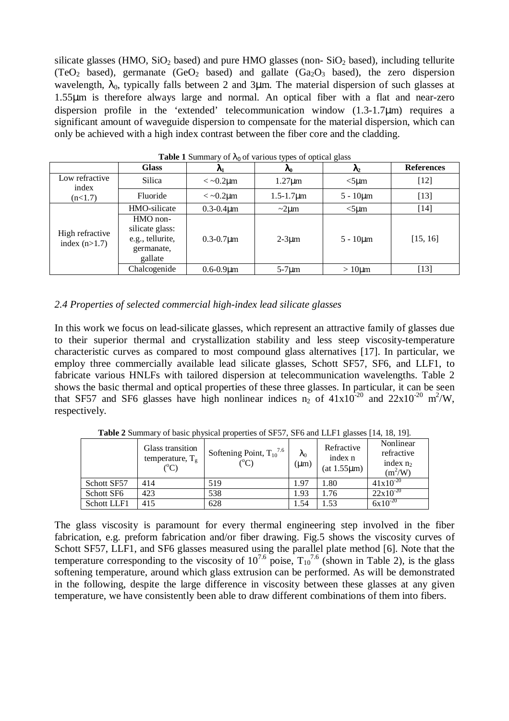silicate glasses (HMO,  $SiO<sub>2</sub>$  based) and pure HMO glasses (non- $SiO<sub>2</sub>$  based), including tellurite (TeO<sub>2</sub> based), germanate (GeO<sub>2</sub> based) and gallate (Ga<sub>2</sub>O<sub>3</sub> based), the zero dispersion wavelength,  $\lambda_0$ , typically falls between 2 and 3µm. The material dispersion of such glasses at 1.55µm is therefore always large and normal. An optical fiber with a flat and near-zero dispersion profile in the 'extended' telecommunication window (1.3-1.7µm) requires a significant amount of waveguide dispersion to compensate for the material dispersion, which can only be achieved with a high index contrast between the fiber core and the cladding.

|                                    | <b>Glass</b>                                                             | $\lambda_1$            | $\lambda_0$         | $\lambda_{2}$  | <b>References</b> |
|------------------------------------|--------------------------------------------------------------------------|------------------------|---------------------|----------------|-------------------|
| Low refractive<br>index<br>(n<1.7) | Silica                                                                   | $\langle$ ~0.2 $\mu$ m | $1.27 \mu m$        | $<5 \mu m$     | $[12]$            |
|                                    | Fluoride                                                                 | $\langle$ ~0.2 $\mu$ m | $1.5 - 1.7$ $\mu$ m | $5 - 10 \mu m$ | $[13]$            |
| High refractive<br>index $(n>1.7)$ | HMO-silicate                                                             | $0.3 - 0.4 \mu m$      | $\sim$ 2 $\mu$ m    | $<$ 5 $\mu$ m  | $[14]$            |
|                                    | HMO non-<br>silicate glass:<br>e.g., tellurite,<br>germanate,<br>gallate | $0.3 - 0.7 \mu m$      | $2-3\mu m$          | $5 - 10 \mu m$ | [15, 16]          |
|                                    | Chalcogenide                                                             | $0.6 - 0.9 \mu m$      | $5-7 \mu m$         | $>10 \mu m$    | $[13]$            |

**Table 1** Summary of  $\lambda_0$  of various types of optical glass

# *2.4 Properties of selected commercial high-index lead silicate glasses*

In this work we focus on lead-silicate glasses, which represent an attractive family of glasses due to their superior thermal and crystallization stability and less steep viscosity-temperature characteristic curves as compared to most compound glass alternatives [17]. In particular, we employ three commercially available lead silicate glasses, Schott SF57, SF6, and LLF1, to fabricate various HNLFs with tailored dispersion at telecommunication wavelengths. Table 2 shows the basic thermal and optical properties of these three glasses. In particular, it can be seen that SF57 and SF6 glasses have high nonlinear indices  $n_2$  of  $41x10^{-20}$  and  $22x10^{-20}$  m<sup>2</sup>/W, respectively.

|             | Glass transition<br>temperature, $T_g$ | Softening Point, $T_{10}^{7.6}$ | $\lambda_0$<br>$(\mu m)$ | Refractive<br>index n<br>$(at 1.55 \mu m)$ | Nonlinear<br>refractive<br>index $n_2$<br>$(m^2/W)$ |
|-------------|----------------------------------------|---------------------------------|--------------------------|--------------------------------------------|-----------------------------------------------------|
| Schott SF57 | 414                                    | 519                             | 1.97                     | .80                                        | $41x10^{-20}$                                       |
| Schott SF6  | 423                                    | 538                             | 1.93                     | 1.76                                       | $22x10^{-20}$                                       |
| Schott LLF1 | 415                                    | 628                             | 1.54                     | .53                                        | $6x10^{-20}$                                        |

**Table 2** Summary of basic physical properties of SF57, SF6 and LLF1 glasses [14, 18, 19].

The glass viscosity is paramount for every thermal engineering step involved in the fiber fabrication, e.g. preform fabrication and/or fiber drawing. Fig.5 shows the viscosity curves of Schott SF57, LLF1, and SF6 glasses measured using the parallel plate method [6]. Note that the temperature corresponding to the viscosity of  $10^{7.6}$  poise,  $T_{10}^{7.6}$  (shown in Table 2), is the glass softening temperature, around which glass extrusion can be performed. As will be demonstrated in the following, despite the large difference in viscosity between these glasses at any given temperature, we have consistently been able to draw different combinations of them into fibers.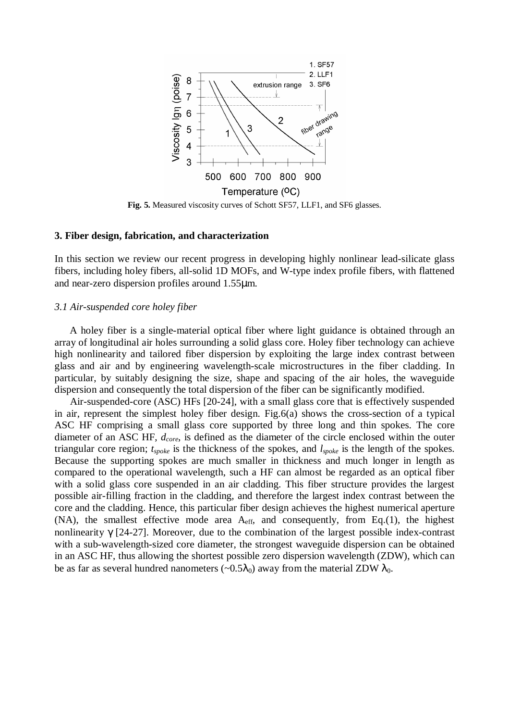

**Fig. 5.** Measured viscosity curves of Schott SF57, LLF1, and SF6 glasses.

### **3. Fiber design, fabrication, and characterization**

In this section we review our recent progress in developing highly nonlinear lead-silicate glass fibers, including holey fibers, all-solid 1D MOFs, and W-type index profile fibers, with flattened and near-zero dispersion profiles around 1.55µm.

# *3.1 Air-suspended core holey fiber*

A holey fiber is a single-material optical fiber where light guidance is obtained through an array of longitudinal air holes surrounding a solid glass core. Holey fiber technology can achieve high nonlinearity and tailored fiber dispersion by exploiting the large index contrast between glass and air and by engineering wavelength-scale microstructures in the fiber cladding. In particular, by suitably designing the size, shape and spacing of the air holes, the waveguide dispersion and consequently the total dispersion of the fiber can be significantly modified.

Air-suspended-core (ASC) HFs [20-24], with a small glass core that is effectively suspended in air, represent the simplest holey fiber design. Fig.6(a) shows the cross-section of a typical ASC HF comprising a small glass core supported by three long and thin spokes. The core diameter of an ASC HF, *dcore*, is defined as the diameter of the circle enclosed within the outer triangular core region; *tspoke* is the thickness of the spokes, and *lspoke* is the length of the spokes. Because the supporting spokes are much smaller in thickness and much longer in length as compared to the operational wavelength, such a HF can almost be regarded as an optical fiber with a solid glass core suspended in an air cladding. This fiber structure provides the largest possible air-filling fraction in the cladding, and therefore the largest index contrast between the core and the cladding. Hence, this particular fiber design achieves the highest numerical aperture (NA), the smallest effective mode area  $A_{\text{eff}}$ , and consequently, from Eq.(1), the highest nonlinearity  $\gamma$  [24-27]. Moreover, due to the combination of the largest possible index-contrast with a sub-wavelength-sized core diameter, the strongest waveguide dispersion can be obtained in an ASC HF, thus allowing the shortest possible zero dispersion wavelength (ZDW), which can be as far as several hundred nanometers ( $\sim$ 0.5 $\lambda$ <sub>0</sub>) away from the material ZDW  $\lambda$ <sub>0</sub>.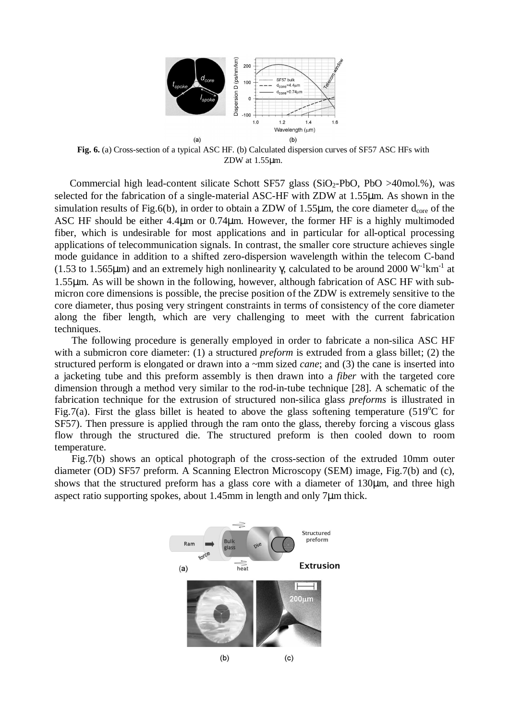

**Fig. 6.** (a) Cross-section of a typical ASC HF. (b) Calculated dispersion curves of SF57 ASC HFs with ZDW at 1.55µm.

Commercial high lead-content silicate Schott SF57 glass (SiO<sub>2</sub>-PbO, PbO >40mol.%), was selected for the fabrication of a single-material ASC-HF with ZDW at 1.55µm. As shown in the simulation results of Fig.6(b), in order to obtain a ZDW of 1.55 $\mu$ m, the core diameter d<sub>core</sub> of the ASC HF should be either 4.4µm or 0.74µm. However, the former HF is a highly multimoded fiber, which is undesirable for most applications and in particular for all-optical processing applications of telecommunication signals. In contrast, the smaller core structure achieves single mode guidance in addition to a shifted zero-dispersion wavelength within the telecom C-band (1.53 to 1.565µm) and an extremely high nonlinearity  $\gamma$ , calculated to be around 2000 W<sup>-1</sup>km<sup>-1</sup> at 1.55µm. As will be shown in the following, however, although fabrication of ASC HF with submicron core dimensions is possible, the precise position of the ZDW is extremely sensitive to the core diameter, thus posing very stringent constraints in terms of consistency of the core diameter along the fiber length, which are very challenging to meet with the current fabrication techniques.

 The following procedure is generally employed in order to fabricate a non-silica ASC HF with a submicron core diameter: (1) a structured *preform* is extruded from a glass billet; (2) the structured perform is elongated or drawn into a ~mm sized *cane*; and (3) the cane is inserted into a jacketing tube and this preform assembly is then drawn into a *fiber* with the targeted core dimension through a method very similar to the rod-in-tube technique [28]. A schematic of the fabrication technique for the extrusion of structured non-silica glass *preforms* is illustrated in Fig.7(a). First the glass billet is heated to above the glass softening temperature (519 $^{\circ}$ C for SF57). Then pressure is applied through the ram onto the glass, thereby forcing a viscous glass flow through the structured die. The structured preform is then cooled down to room temperature.

 Fig.7(b) shows an optical photograph of the cross-section of the extruded 10mm outer diameter (OD) SF57 preform. A Scanning Electron Microscopy (SEM) image, Fig.7(b) and (c), shows that the structured preform has a glass core with a diameter of 130 $\mu$ m, and three high aspect ratio supporting spokes, about 1.45mm in length and only 7µm thick.

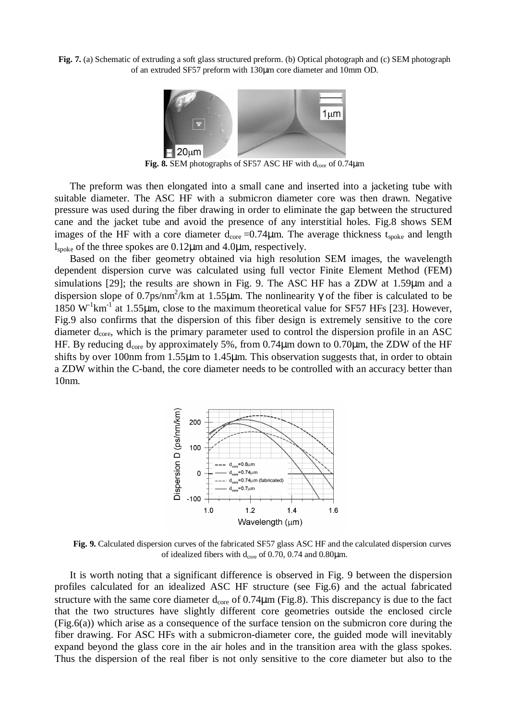**Fig. 7.** (a) Schematic of extruding a soft glass structured preform. (b) Optical photograph and (c) SEM photograph of an extruded SF57 preform with 130µm core diameter and 10mm OD.



Fig. 8. SEM photographs of SF57 ASC HF with d<sub>core</sub> of 0.74 $\mu$ m

The preform was then elongated into a small cane and inserted into a jacketing tube with suitable diameter. The ASC HF with a submicron diameter core was then drawn. Negative pressure was used during the fiber drawing in order to eliminate the gap between the structured cane and the jacket tube and avoid the presence of any interstitial holes. Fig.8 shows SEM images of the HF with a core diameter  $d_{\text{core}} = 0.74 \mu m$ . The average thickness  $t_{\text{solve}}$  and length  $l_{\text{solve}}$  of the three spokes are 0.12 $\mu$ m and 4.0 $\mu$ m, respectively.

Based on the fiber geometry obtained via high resolution SEM images, the wavelength dependent dispersion curve was calculated using full vector Finite Element Method (FEM) simulations [29]; the results are shown in Fig. 9. The ASC HF has a ZDW at 1.59µm and a dispersion slope of 0.7ps/nm<sup>2</sup>/km at 1.55 $\mu$ m. The nonlinearity  $\gamma$  of the fiber is calculated to be 1850  $W<sup>-1</sup>km<sup>-1</sup>$  at 1.55µm, close to the maximum theoretical value for SF57 HFs [23]. However, Fig.9 also confirms that the dispersion of this fiber design is extremely sensitive to the core diameter  $d_{\text{core}}$ , which is the primary parameter used to control the dispersion profile in an ASC HF. By reducing  $d_{\text{core}}$  by approximately 5%, from 0.74 $\mu$ m down to 0.70 $\mu$ m, the ZDW of the HF shifts by over 100nm from 1.55µm to 1.45µm. This observation suggests that, in order to obtain a ZDW within the C-band, the core diameter needs to be controlled with an accuracy better than 10nm.



**Fig. 9.** Calculated dispersion curves of the fabricated SF57 glass ASC HF and the calculated dispersion curves of idealized fibers with  $d_{\text{core}}$  of 0.70, 0.74 and 0.80 $\mu$ m.

It is worth noting that a significant difference is observed in Fig. 9 between the dispersion profiles calculated for an idealized ASC HF structure (see Fig.6) and the actual fabricated structure with the same core diameter  $d_{\text{core}}$  of 0.74 $\mu$ m (Fig.8). This discrepancy is due to the fact that the two structures have slightly different core geometries outside the enclosed circle (Fig.6(a)) which arise as a consequence of the surface tension on the submicron core during the fiber drawing. For ASC HFs with a submicron-diameter core, the guided mode will inevitably expand beyond the glass core in the air holes and in the transition area with the glass spokes. Thus the dispersion of the real fiber is not only sensitive to the core diameter but also to the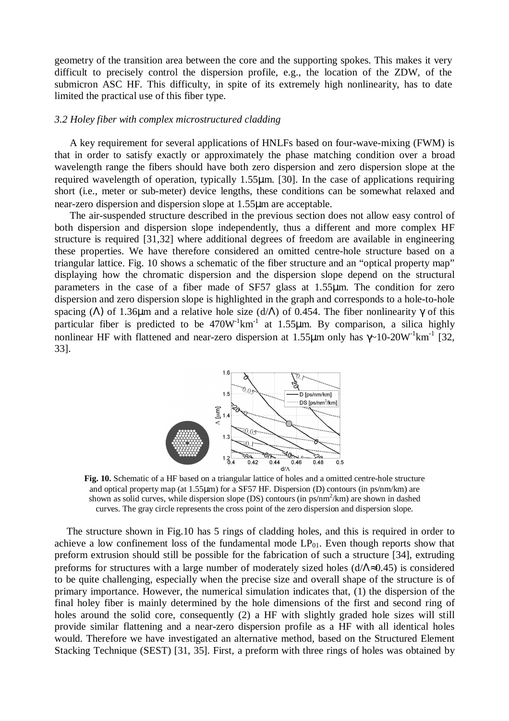geometry of the transition area between the core and the supporting spokes. This makes it very difficult to precisely control the dispersion profile, e.g., the location of the ZDW, of the submicron ASC HF. This difficulty, in spite of its extremely high nonlinearity, has to date limited the practical use of this fiber type.

# *3.2 Holey fiber with complex microstructured cladding*

A key requirement for several applications of HNLFs based on four-wave-mixing (FWM) is that in order to satisfy exactly or approximately the phase matching condition over a broad wavelength range the fibers should have both zero dispersion and zero dispersion slope at the required wavelength of operation, typically 1.55µm. [30]. In the case of applications requiring short (i.e., meter or sub-meter) device lengths, these conditions can be somewhat relaxed and near-zero dispersion and dispersion slope at 1.55µm are acceptable.

The air-suspended structure described in the previous section does not allow easy control of both dispersion and dispersion slope independently, thus a different and more complex HF structure is required [31,32] where additional degrees of freedom are available in engineering these properties. We have therefore considered an omitted centre-hole structure based on a triangular lattice. Fig. 10 shows a schematic of the fiber structure and an "optical property map" displaying how the chromatic dispersion and the dispersion slope depend on the structural parameters in the case of a fiber made of SF57 glass at 1.55µm. The condition for zero dispersion and zero dispersion slope is highlighted in the graph and corresponds to a hole-to-hole spacing ( $\Lambda$ ) of 1.36µm and a relative hole size ( $d/\Lambda$ ) of 0.454. The fiber nonlinearity  $\gamma$  of this particular fiber is predicted to be  $470W<sup>-1</sup>$  at 1.55µm. By comparison, a silica highly nonlinear HF with flattened and near-zero dispersion at  $1.55\mu$ m only has  $\gamma \sim 10^{-20}$ W<sup>-1</sup>km<sup>-1</sup> [32, 33].



**Fig. 10.** Schematic of a HF based on a triangular lattice of holes and a omitted centre-hole structure and optical property map (at 1.55µm) for a SF57 HF. Dispersion (D) contours (in ps/nm/km) are shown as solid curves, while dispersion slope (DS) contours (in ps/nm<sup>2</sup>/km) are shown in dashed curves. The gray circle represents the cross point of the zero dispersion and dispersion slope.

The structure shown in Fig.10 has 5 rings of cladding holes, and this is required in order to achieve a low confinement loss of the fundamental mode  $LP_{01}$ . Even though reports show that preform extrusion should still be possible for the fabrication of such a structure [34], extruding preforms for structures with a large number of moderately sized holes  $(d/\Lambda \approx 0.45)$  is considered to be quite challenging, especially when the precise size and overall shape of the structure is of primary importance. However, the numerical simulation indicates that, (1) the dispersion of the final holey fiber is mainly determined by the hole dimensions of the first and second ring of holes around the solid core, consequently (2) a HF with slightly graded hole sizes will still provide similar flattening and a near-zero dispersion profile as a HF with all identical holes would. Therefore we have investigated an alternative method, based on the Structured Element Stacking Technique (SEST) [31, 35]. First, a preform with three rings of holes was obtained by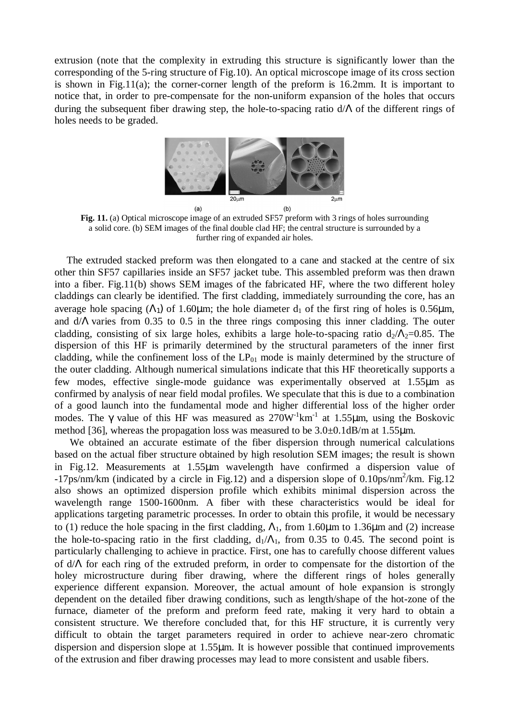extrusion (note that the complexity in extruding this structure is significantly lower than the corresponding of the 5-ring structure of Fig.10). An optical microscope image of its cross section is shown in Fig.11(a); the corner-corner length of the preform is 16.2mm. It is important to notice that, in order to pre-compensate for the non-uniform expansion of the holes that occurs during the subsequent fiber drawing step, the hole-to-spacing ratio  $d/\Lambda$  of the different rings of holes needs to be graded.



**Fig. 11.** (a) Optical microscope image of an extruded SF57 preform with 3 rings of holes surrounding a solid core. (b) SEM images of the final double clad HF; the central structure is surrounded by a further ring of expanded air holes.

The extruded stacked preform was then elongated to a cane and stacked at the centre of six other thin SF57 capillaries inside an SF57 jacket tube. This assembled preform was then drawn into a fiber. Fig.11(b) shows SEM images of the fabricated HF, where the two different holey claddings can clearly be identified. The first cladding, immediately surrounding the core, has an average hole spacing ( $\Lambda$ <sub>1</sub>) of 1.60 $\mu$ m; the hole diameter d<sub>1</sub> of the first ring of holes is 0.56 $\mu$ m, and d/Λ varies from 0.35 to 0.5 in the three rings composing this inner cladding. The outer cladding, consisting of six large holes, exhibits a large hole-to-spacing ratio  $d_2/\Lambda_2=0.85$ . The dispersion of this HF is primarily determined by the structural parameters of the inner first cladding, while the confinement loss of the  $LP<sub>01</sub>$  mode is mainly determined by the structure of the outer cladding. Although numerical simulations indicate that this HF theoretically supports a few modes, effective single-mode guidance was experimentally observed at 1.55µm as confirmed by analysis of near field modal profiles. We speculate that this is due to a combination of a good launch into the fundamental mode and higher differential loss of the higher order modes. The  $\gamma$  value of this HF was measured as  $270W^{-1}km^{-1}$  at 1.55µm, using the Boskovic method [36], whereas the propagation loss was measured to be  $3.0\pm0.1$  dB/m at 1.55 km.

We obtained an accurate estimate of the fiber dispersion through numerical calculations based on the actual fiber structure obtained by high resolution SEM images; the result is shown in Fig.12. Measurements at 1.55µm wavelength have confirmed a dispersion value of  $-17$ ps/nm/km (indicated by a circle in Fig.12) and a dispersion slope of 0.10ps/nm<sup>2</sup>/km. Fig.12 also shows an optimized dispersion profile which exhibits minimal dispersion across the wavelength range 1500-1600nm. A fiber with these characteristics would be ideal for applications targeting parametric processes. In order to obtain this profile, it would be necessary to (1) reduce the hole spacing in the first cladding,  $Λ_1$ , from 1.60μm to 1.36μm and (2) increase the hole-to-spacing ratio in the first cladding,  $d_1/\Lambda_1$ , from 0.35 to 0.45. The second point is particularly challenging to achieve in practice. First, one has to carefully choose different values of d/Λ for each ring of the extruded preform, in order to compensate for the distortion of the holey microstructure during fiber drawing, where the different rings of holes generally experience different expansion. Moreover, the actual amount of hole expansion is strongly dependent on the detailed fiber drawing conditions, such as length/shape of the hot-zone of the furnace, diameter of the preform and preform feed rate, making it very hard to obtain a consistent structure. We therefore concluded that, for this HF structure, it is currently very difficult to obtain the target parameters required in order to achieve near-zero chromatic dispersion and dispersion slope at 1.55µm. It is however possible that continued improvements of the extrusion and fiber drawing processes may lead to more consistent and usable fibers.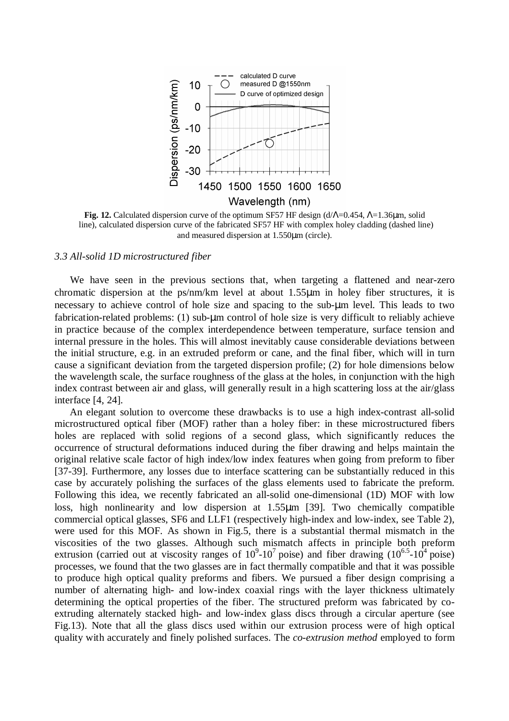

**Fig. 12.** Calculated dispersion curve of the optimum SF57 HF design (d/Λ=0.454, Λ=1.36µm, solid line), calculated dispersion curve of the fabricated SF57 HF with complex holey cladding (dashed line) and measured dispersion at 1.550µm (circle).

#### *3.3 All-solid 1D microstructured fiber*

We have seen in the previous sections that, when targeting a flattened and near-zero chromatic dispersion at the ps/nm/km level at about 1.55µm in holey fiber structures, it is necessary to achieve control of hole size and spacing to the sub-um level. This leads to two fabrication-related problems: (1) sub-µm control of hole size is very difficult to reliably achieve in practice because of the complex interdependence between temperature, surface tension and internal pressure in the holes. This will almost inevitably cause considerable deviations between the initial structure, e.g. in an extruded preform or cane, and the final fiber, which will in turn cause a significant deviation from the targeted dispersion profile; (2) for hole dimensions below the wavelength scale, the surface roughness of the glass at the holes, in conjunction with the high index contrast between air and glass, will generally result in a high scattering loss at the air/glass interface [4, 24].

An elegant solution to overcome these drawbacks is to use a high index-contrast all-solid microstructured optical fiber (MOF) rather than a holey fiber: in these microstructured fibers holes are replaced with solid regions of a second glass, which significantly reduces the occurrence of structural deformations induced during the fiber drawing and helps maintain the original relative scale factor of high index/low index features when going from preform to fiber [37-39]. Furthermore, any losses due to interface scattering can be substantially reduced in this case by accurately polishing the surfaces of the glass elements used to fabricate the preform. Following this idea, we recently fabricated an all-solid one-dimensional (1D) MOF with low loss, high nonlinearity and low dispersion at 1.55µm [39]. Two chemically compatible commercial optical glasses, SF6 and LLF1 (respectively high-index and low-index, see Table 2), were used for this MOF. As shown in Fig.5, there is a substantial thermal mismatch in the viscosities of the two glasses. Although such mismatch affects in principle both preform extrusion (carried out at viscosity ranges of  $10^9$ -10<sup>7</sup> poise) and fiber drawing ( $10^{6.5}$ -10<sup>4</sup> poise) processes, we found that the two glasses are in fact thermally compatible and that it was possible to produce high optical quality preforms and fibers. We pursued a fiber design comprising a number of alternating high- and low-index coaxial rings with the layer thickness ultimately determining the optical properties of the fiber. The structured preform was fabricated by coextruding alternately stacked high- and low-index glass discs through a circular aperture (see Fig.13). Note that all the glass discs used within our extrusion process were of high optical quality with accurately and finely polished surfaces. The *co-extrusion method* employed to form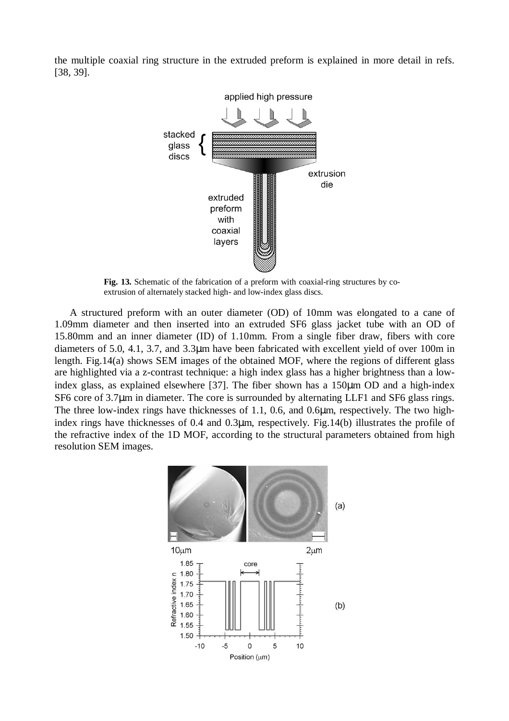the multiple coaxial ring structure in the extruded preform is explained in more detail in refs. [38, 39].



**Fig. 13.** Schematic of the fabrication of a preform with coaxial-ring structures by coextrusion of alternately stacked high- and low-index glass discs.

A structured preform with an outer diameter (OD) of 10mm was elongated to a cane of 1.09mm diameter and then inserted into an extruded SF6 glass jacket tube with an OD of 15.80mm and an inner diameter (ID) of 1.10mm. From a single fiber draw, fibers with core diameters of 5.0, 4.1, 3.7, and 3.3µm have been fabricated with excellent yield of over 100m in length. Fig.14(a) shows SEM images of the obtained MOF, where the regions of different glass are highlighted via a z-contrast technique: a high index glass has a higher brightness than a lowindex glass, as explained elsewhere [37]. The fiber shown has a 150µm OD and a high-index SF6 core of 3.7 $\mu$ m in diameter. The core is surrounded by alternating LLF1 and SF6 glass rings. The three low-index rings have thicknesses of 1.1, 0.6, and 0.6µm, respectively. The two highindex rings have thicknesses of 0.4 and 0.3µm, respectively. Fig.14(b) illustrates the profile of the refractive index of the 1D MOF, according to the structural parameters obtained from high resolution SEM images.

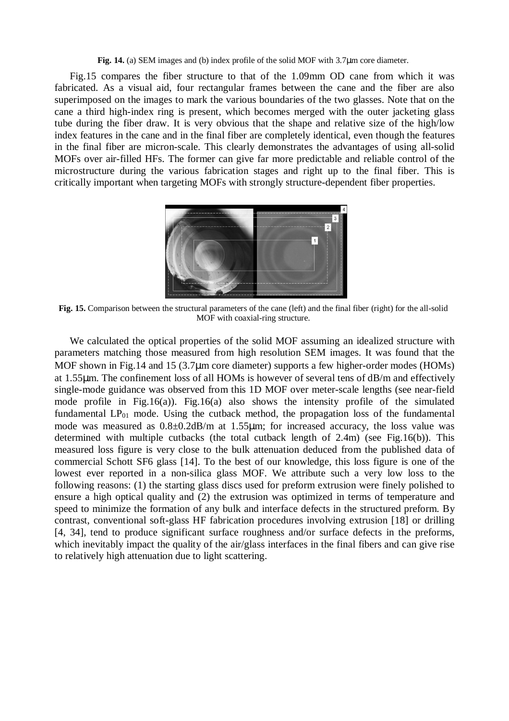**Fig. 14.** (a) SEM images and (b) index profile of the solid MOF with 3.7µm core diameter.

Fig.15 compares the fiber structure to that of the 1.09mm OD cane from which it was fabricated. As a visual aid, four rectangular frames between the cane and the fiber are also superimposed on the images to mark the various boundaries of the two glasses. Note that on the cane a third high-index ring is present, which becomes merged with the outer jacketing glass tube during the fiber draw. It is very obvious that the shape and relative size of the high/low index features in the cane and in the final fiber are completely identical, even though the features in the final fiber are micron-scale. This clearly demonstrates the advantages of using all-solid MOFs over air-filled HFs. The former can give far more predictable and reliable control of the microstructure during the various fabrication stages and right up to the final fiber. This is critically important when targeting MOFs with strongly structure-dependent fiber properties.



**Fig. 15.** Comparison between the structural parameters of the cane (left) and the final fiber (right) for the all-solid MOF with coaxial-ring structure.

We calculated the optical properties of the solid MOF assuming an idealized structure with parameters matching those measured from high resolution SEM images. It was found that the MOF shown in Fig.14 and 15 (3.7 $\mu$ m core diameter) supports a few higher-order modes (HOMs) at 1.55µm. The confinement loss of all HOMs is however of several tens of dB/m and effectively single-mode guidance was observed from this 1D MOF over meter-scale lengths (see near-field mode profile in Fig.16(a)). Fig.16(a) also shows the intensity profile of the simulated fundamental  $LP_{01}$  mode. Using the cutback method, the propagation loss of the fundamental mode was measured as  $0.8\pm0.2$ dB/m at 1.55µm; for increased accuracy, the loss value was determined with multiple cutbacks (the total cutback length of 2.4m) (see Fig.16(b)). This measured loss figure is very close to the bulk attenuation deduced from the published data of commercial Schott SF6 glass [14]. To the best of our knowledge, this loss figure is one of the lowest ever reported in a non-silica glass MOF. We attribute such a very low loss to the following reasons: (1) the starting glass discs used for preform extrusion were finely polished to ensure a high optical quality and (2) the extrusion was optimized in terms of temperature and speed to minimize the formation of any bulk and interface defects in the structured preform. By contrast, conventional soft-glass HF fabrication procedures involving extrusion [18] or drilling [4, 34], tend to produce significant surface roughness and/or surface defects in the preforms, which inevitably impact the quality of the air/glass interfaces in the final fibers and can give rise to relatively high attenuation due to light scattering.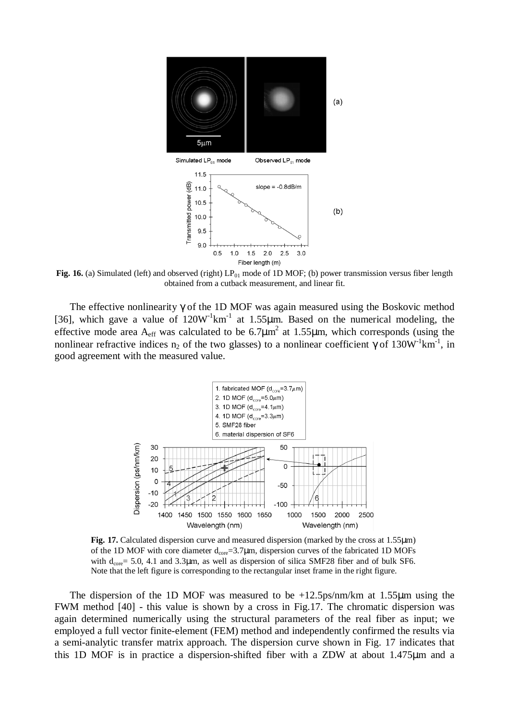

**Fig. 16.** (a) Simulated (left) and observed (right)  $LP_{01}$  mode of 1D MOF; (b) power transmission versus fiber length obtained from a cutback measurement, and linear fit.

The effective nonlinearity  $\gamma$  of the 1D MOF was again measured using the Boskovic method [36], which gave a value of  $120W<sup>-1</sup>$ km<sup>-1</sup> at 1.55 $\mu$ m. Based on the numerical modeling, the effective mode area  $A_{eff}$  was calculated to be 6.7 $\mu$ m<sup>2</sup> at 1.55 $\mu$ m, which corresponds (using the nonlinear refractive indices n<sub>2</sub> of the two glasses) to a nonlinear coefficient  $\gamma$  of 130W<sup>-1</sup>km<sup>-1</sup>, in good agreement with the measured value.



**Fig. 17.** Calculated dispersion curve and measured dispersion (marked by the cross at 1.55µm) of the 1D MOF with core diameter  $d_{core} = 3.7 \mu m$ , dispersion curves of the fabricated 1D MOFs with  $d_{\text{core}}$  = 5.0, 4.1 and 3.3 $\mu$ m, as well as dispersion of silica SMF28 fiber and of bulk SF6. Note that the left figure is corresponding to the rectangular inset frame in the right figure.

The dispersion of the 1D MOF was measured to be  $+12.5$ ps/nm/km at 1.55 $\mu$ m using the FWM method [40] - this value is shown by a cross in Fig.17. The chromatic dispersion was again determined numerically using the structural parameters of the real fiber as input; we employed a full vector finite-element (FEM) method and independently confirmed the results via a semi-analytic transfer matrix approach. The dispersion curve shown in Fig. 17 indicates that this 1D MOF is in practice a dispersion-shifted fiber with a ZDW at about 1.475µm and a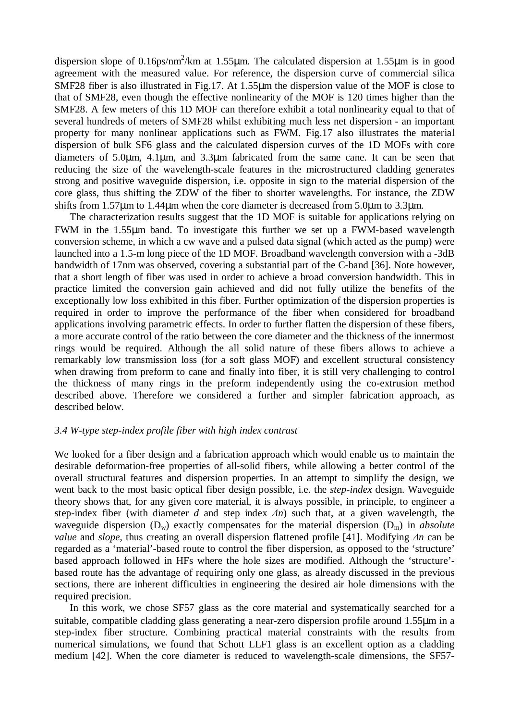dispersion slope of 0.16ps/nm<sup>2</sup>/km at 1.55 $\mu$ m. The calculated dispersion at 1.55 $\mu$ m is in good agreement with the measured value. For reference, the dispersion curve of commercial silica SMF28 fiber is also illustrated in Fig.17. At 1.55µm the dispersion value of the MOF is close to that of SMF28, even though the effective nonlinearity of the MOF is 120 times higher than the SMF28. A few meters of this 1D MOF can therefore exhibit a total nonlinearity equal to that of several hundreds of meters of SMF28 whilst exhibiting much less net dispersion - an important property for many nonlinear applications such as FWM. Fig.17 also illustrates the material dispersion of bulk SF6 glass and the calculated dispersion curves of the 1D MOFs with core diameters of 5.0µm, 4.1µm, and 3.3µm fabricated from the same cane. It can be seen that reducing the size of the wavelength-scale features in the microstructured cladding generates strong and positive waveguide dispersion, i.e. opposite in sign to the material dispersion of the core glass, thus shifting the ZDW of the fiber to shorter wavelengths. For instance, the ZDW shifts from 1.57µm to 1.44µm when the core diameter is decreased from 5.0µm to 3.3µm.

The characterization results suggest that the 1D MOF is suitable for applications relying on FWM in the 1.55µm band. To investigate this further we set up a FWM-based wavelength conversion scheme, in which a cw wave and a pulsed data signal (which acted as the pump) were launched into a 1.5-m long piece of the 1D MOF. Broadband wavelength conversion with a -3dB bandwidth of 17nm was observed, covering a substantial part of the C-band [36]. Note however, that a short length of fiber was used in order to achieve a broad conversion bandwidth. This in practice limited the conversion gain achieved and did not fully utilize the benefits of the exceptionally low loss exhibited in this fiber. Further optimization of the dispersion properties is required in order to improve the performance of the fiber when considered for broadband applications involving parametric effects. In order to further flatten the dispersion of these fibers, a more accurate control of the ratio between the core diameter and the thickness of the innermost rings would be required. Although the all solid nature of these fibers allows to achieve a remarkably low transmission loss (for a soft glass MOF) and excellent structural consistency when drawing from preform to cane and finally into fiber, it is still very challenging to control the thickness of many rings in the preform independently using the co-extrusion method described above. Therefore we considered a further and simpler fabrication approach, as described below.

# *3.4 W-type step-index profile fiber with high index contrast*

We looked for a fiber design and a fabrication approach which would enable us to maintain the desirable deformation-free properties of all-solid fibers, while allowing a better control of the overall structural features and dispersion properties. In an attempt to simplify the design, we went back to the most basic optical fiber design possible, i.e. the *step-index* design. Waveguide theory shows that, for any given core material, it is always possible, in principle, to engineer a step-index fiber (with diameter *d* and step index ∆*n*) such that, at a given wavelength, the waveguide dispersion  $(D_w)$  exactly compensates for the material dispersion  $(D_m)$  in *absolute value* and *slope*, thus creating an overall dispersion flattened profile [41]. Modifying ∆*n* can be regarded as a 'material'-based route to control the fiber dispersion, as opposed to the 'structure' based approach followed in HFs where the hole sizes are modified. Although the 'structure' based route has the advantage of requiring only one glass, as already discussed in the previous sections, there are inherent difficulties in engineering the desired air hole dimensions with the required precision.

In this work, we chose SF57 glass as the core material and systematically searched for a suitable, compatible cladding glass generating a near-zero dispersion profile around 1.55µm in a step-index fiber structure. Combining practical material constraints with the results from numerical simulations, we found that Schott LLF1 glass is an excellent option as a cladding medium [42]. When the core diameter is reduced to wavelength-scale dimensions, the SF57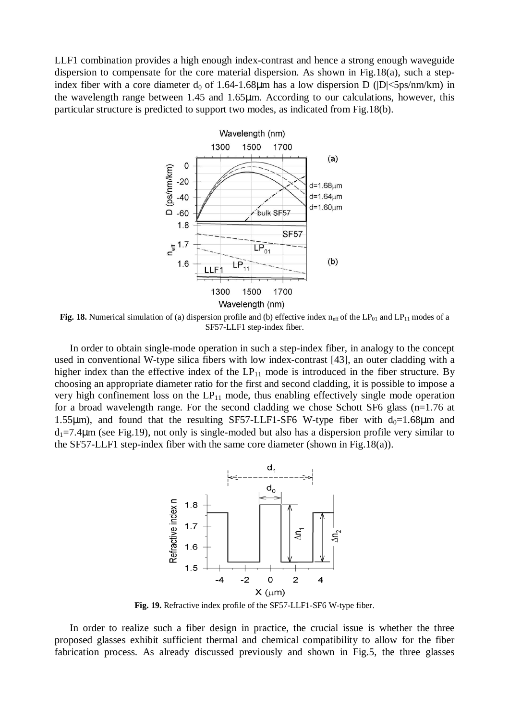LLF1 combination provides a high enough index-contrast and hence a strong enough waveguide dispersion to compensate for the core material dispersion. As shown in Fig.18(a), such a stepindex fiber with a core diameter  $d_0$  of 1.64-1.68µm has a low dispersion D ( $|D|$ <5ps/nm/km) in the wavelength range between 1.45 and 1.65µm. According to our calculations, however, this particular structure is predicted to support two modes, as indicated from Fig.18(b).



**Fig. 18.** Numerical simulation of (a) dispersion profile and (b) effective index  $n_{\text{eff}}$  of the LP<sub>01</sub> and LP<sub>11</sub> modes of a SF57-LLF1 step-index fiber.

In order to obtain single-mode operation in such a step-index fiber, in analogy to the concept used in conventional W-type silica fibers with low index-contrast [43], an outer cladding with a higher index than the effective index of the  $LP_{11}$  mode is introduced in the fiber structure. By choosing an appropriate diameter ratio for the first and second cladding, it is possible to impose a very high confinement loss on the  $LP_{11}$  mode, thus enabling effectively single mode operation for a broad wavelength range. For the second cladding we chose Schott SF6 glass (n=1.76 at 1.55µm), and found that the resulting SF57-LLF1-SF6 W-type fiber with  $d_0=1.68\mu m$  and  $d_1=7.4\mu$ m (see Fig.19), not only is single-moded but also has a dispersion profile very similar to the SF57-LLF1 step-index fiber with the same core diameter (shown in Fig.18(a)).



**Fig. 19.** Refractive index profile of the SF57-LLF1-SF6 W-type fiber.

In order to realize such a fiber design in practice, the crucial issue is whether the three proposed glasses exhibit sufficient thermal and chemical compatibility to allow for the fiber fabrication process. As already discussed previously and shown in Fig.5, the three glasses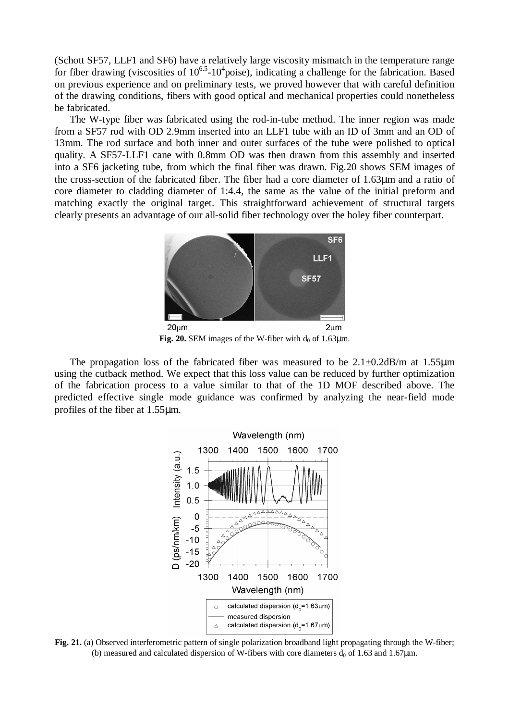(Schott SF57, LLF1 and SF6) have a relatively large viscosity mismatch in the temperature range for fiber drawing (viscosities of  $10^{6.5}$ -10<sup>4</sup>poise), indicating a challenge for the fabrication. Based on previous experience and on preliminary tests, we proved however that with careful definition of the drawing conditions, fibers with good optical and mechanical properties could nonetheless be fabricated.

The W-type fiber was fabricated using the rod-in-tube method. The inner region was made from a SF57 rod with OD 2.9mm inserted into an LLF1 tube with an ID of 3mm and an OD of 13mm. The rod surface and both inner and outer surfaces of the tube were polished to optical quality. A SF57-LLF1 cane with 0.8mm OD was then drawn from this assembly and inserted into a SF6 jacketing tube, from which the final fiber was drawn. Fig.20 shows SEM images of the cross-section of the fabricated fiber. The fiber had a core diameter of 1.63µm and a ratio of core diameter to cladding diameter of 1:4.4, the same as the value of the initial preform and matching exactly the original target. This straightforward achievement of structural targets clearly presents an advantage of our all-solid fiber technology over the holey fiber counterpart.



**Fig. 20.** SEM images of the W-fiber with  $d_0$  of 1.63 $\mu$ m.

The propagation loss of the fabricated fiber was measured to be  $2.1 \pm 0.2$ dB/m at  $1.55 \mu m$ using the cutback method. We expect that this loss value can be reduced by further optimization of the fabrication process to a value similar to that of the 1D MOF described above. The predicted effective single mode guidance was confirmed by analyzing the near-field mode profiles of the fiber at 1.55µm.



**Fig. 21.** (a) Observed interferometric pattern of single polarization broadband light propagating through the W-fiber; (b) measured and calculated dispersion of W-fibers with core diameters  $d_0$  of 1.63 and 1.67 $\mu$ m.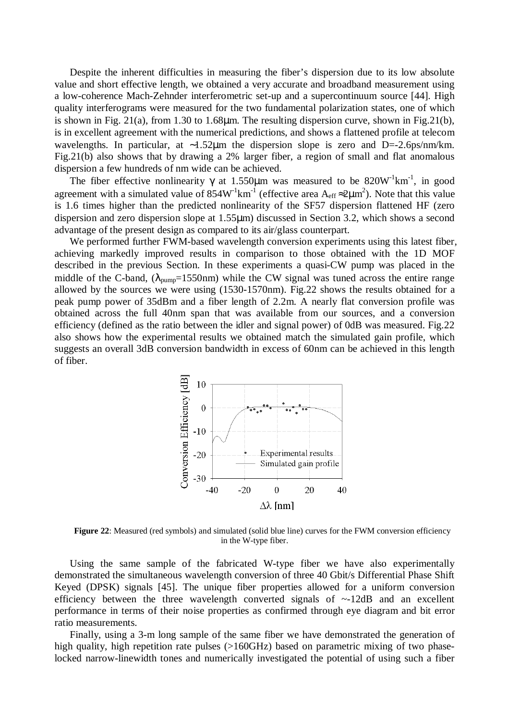Despite the inherent difficulties in measuring the fiber's dispersion due to its low absolute value and short effective length, we obtained a very accurate and broadband measurement using a low-coherence Mach-Zehnder interferometric set-up and a supercontinuum source [44]. High quality interferograms were measured for the two fundamental polarization states, one of which is shown in Fig. 21(a), from 1.30 to 1.68µm. The resulting dispersion curve, shown in Fig.21(b), is in excellent agreement with the numerical predictions, and shows a flattened profile at telecom wavelengths. In particular, at ∼1.52µm the dispersion slope is zero and D=-2.6ps/nm/km. Fig.21(b) also shows that by drawing a 2% larger fiber, a region of small and flat anomalous dispersion a few hundreds of nm wide can be achieved.

The fiber effective nonlinearity  $\gamma$  at 1.550 $\mu$ m was measured to be 820W<sup>-1</sup>km<sup>-1</sup>, in good agreement with a simulated value of  $854W^{-1}km^{-1}$  (effective area  $A_{eff} \approx 2 \mu m^2$ ). Note that this value is 1.6 times higher than the predicted nonlinearity of the SF57 dispersion flattened HF (zero dispersion and zero dispersion slope at 1.55µm) discussed in Section 3.2, which shows a second advantage of the present design as compared to its air/glass counterpart.

We performed further FWM-based wavelength conversion experiments using this latest fiber, achieving markedly improved results in comparison to those obtained with the 1D MOF described in the previous Section. In these experiments a quasi-CW pump was placed in the middle of the C-band, ( $\lambda_{\text{pump}}$ =1550nm) while the CW signal was tuned across the entire range allowed by the sources we were using (1530-1570nm). Fig.22 shows the results obtained for a peak pump power of 35dBm and a fiber length of 2.2m. A nearly flat conversion profile was obtained across the full 40nm span that was available from our sources, and a conversion efficiency (defined as the ratio between the idler and signal power) of 0dB was measured. Fig.22 also shows how the experimental results we obtained match the simulated gain profile, which suggests an overall 3dB conversion bandwidth in excess of 60nm can be achieved in this length of fiber.



**Figure 22:** Measured (red symbols) and simulated (solid blue line) curves for the FWM conversion efficiency in the W-type fiber.

Using the same sample of the fabricated W-type fiber we have also experimentally demonstrated the simultaneous wavelength conversion of three 40 Gbit/s Differential Phase Shift Keyed (DPSK) signals [45]. The unique fiber properties allowed for a uniform conversion efficiency between the three wavelength converted signals of ~-12dB and an excellent performance in terms of their noise properties as confirmed through eye diagram and bit error ratio measurements.

Finally, using a 3-m long sample of the same fiber we have demonstrated the generation of high quality, high repetition rate pulses (>160GHz) based on parametric mixing of two phaselocked narrow-linewidth tones and numerically investigated the potential of using such a fiber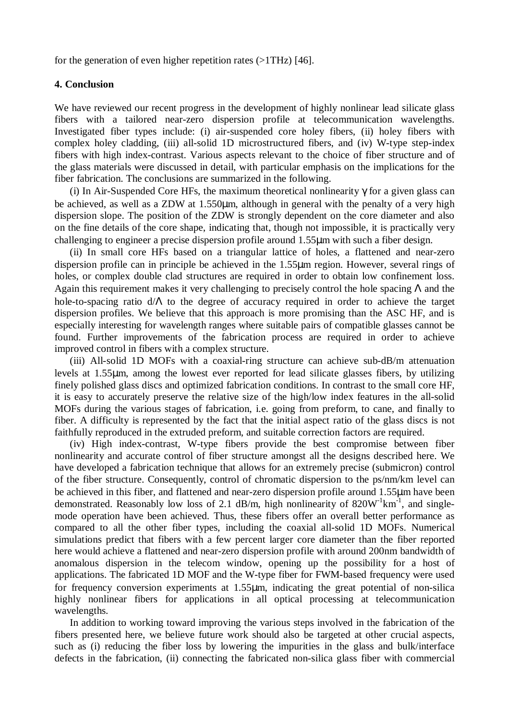for the generation of even higher repetition rates (>1THz) [46].

# **4. Conclusion**

We have reviewed our recent progress in the development of highly nonlinear lead silicate glass fibers with a tailored near-zero dispersion profile at telecommunication wavelengths. Investigated fiber types include: (i) air-suspended core holey fibers, (ii) holey fibers with complex holey cladding, (iii) all-solid 1D microstructured fibers, and (iv) W-type step-index fibers with high index-contrast. Various aspects relevant to the choice of fiber structure and of the glass materials were discussed in detail, with particular emphasis on the implications for the fiber fabrication. The conclusions are summarized in the following.

(i) In Air-Suspended Core HFs, the maximum theoretical nonlinearity  $\gamma$  for a given glass can be achieved, as well as a ZDW at 1.550µm, although in general with the penalty of a very high dispersion slope. The position of the ZDW is strongly dependent on the core diameter and also on the fine details of the core shape, indicating that, though not impossible, it is practically very challenging to engineer a precise dispersion profile around 1.55µm with such a fiber design.

(ii) In small core HFs based on a triangular lattice of holes, a flattened and near-zero dispersion profile can in principle be achieved in the 1.55µm region. However, several rings of holes, or complex double clad structures are required in order to obtain low confinement loss. Again this requirement makes it very challenging to precisely control the hole spacing Λ and the hole-to-spacing ratio d/Λ to the degree of accuracy required in order to achieve the target dispersion profiles. We believe that this approach is more promising than the ASC HF, and is especially interesting for wavelength ranges where suitable pairs of compatible glasses cannot be found. Further improvements of the fabrication process are required in order to achieve improved control in fibers with a complex structure.

(iii) All-solid 1D MOFs with a coaxial-ring structure can achieve sub-dB/m attenuation levels at 1.55µm, among the lowest ever reported for lead silicate glasses fibers, by utilizing finely polished glass discs and optimized fabrication conditions. In contrast to the small core HF, it is easy to accurately preserve the relative size of the high/low index features in the all-solid MOFs during the various stages of fabrication, i.e. going from preform, to cane, and finally to fiber. A difficulty is represented by the fact that the initial aspect ratio of the glass discs is not faithfully reproduced in the extruded preform, and suitable correction factors are required.

(iv) High index-contrast, W-type fibers provide the best compromise between fiber nonlinearity and accurate control of fiber structure amongst all the designs described here. We have developed a fabrication technique that allows for an extremely precise (submicron) control of the fiber structure. Consequently, control of chromatic dispersion to the ps/nm/km level can be achieved in this fiber, and flattened and near-zero dispersion profile around 1.55µm have been demonstrated. Reasonably low loss of 2.1 dB/m, high nonlinearity of  $820W<sup>-1</sup>km<sup>-1</sup>$ , and singlemode operation have been achieved. Thus, these fibers offer an overall better performance as compared to all the other fiber types, including the coaxial all-solid 1D MOFs. Numerical simulations predict that fibers with a few percent larger core diameter than the fiber reported here would achieve a flattened and near-zero dispersion profile with around 200nm bandwidth of anomalous dispersion in the telecom window, opening up the possibility for a host of applications. The fabricated 1D MOF and the W-type fiber for FWM-based frequency were used for frequency conversion experiments at 1.55µm, indicating the great potential of non-silica highly nonlinear fibers for applications in all optical processing at telecommunication wavelengths.

In addition to working toward improving the various steps involved in the fabrication of the fibers presented here, we believe future work should also be targeted at other crucial aspects, such as (i) reducing the fiber loss by lowering the impurities in the glass and bulk/interface defects in the fabrication, (ii) connecting the fabricated non-silica glass fiber with commercial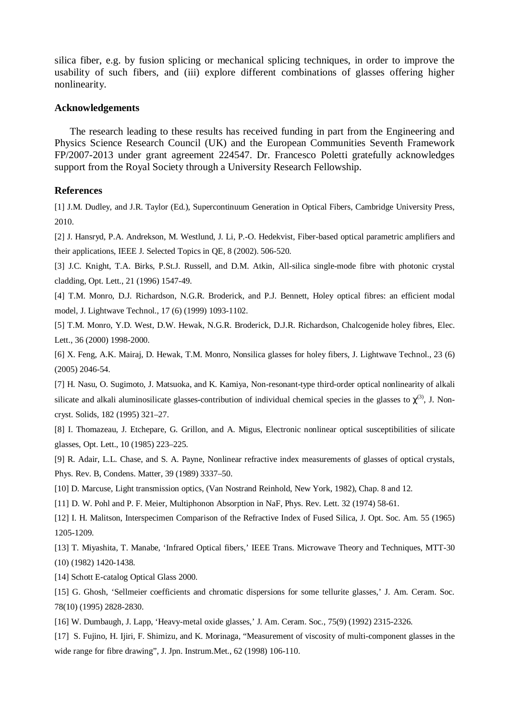silica fiber, e.g. by fusion splicing or mechanical splicing techniques, in order to improve the usability of such fibers, and (iii) explore different combinations of glasses offering higher nonlinearity.

### **Acknowledgements**

The research leading to these results has received funding in part from the Engineering and Physics Science Research Council (UK) and the European Communities Seventh Framework FP/2007-2013 under grant agreement 224547. Dr. Francesco Poletti gratefully acknowledges support from the Royal Society through a University Research Fellowship.

#### **References**

[1] J.M. Dudley, and J.R. Taylor (Ed.), Supercontinuum Generation in Optical Fibers, Cambridge University Press, 2010.

[2] J. Hansryd, P.A. Andrekson, M. Westlund, J. Li, P.-O. Hedekvist, Fiber-based optical parametric amplifiers and their applications, IEEE J. Selected Topics in QE, 8 (2002). 506-520.

[3] J.C. Knight, T.A. Birks, P.St.J. Russell, and D.M. Atkin, All-silica single-mode fibre with photonic crystal cladding, Opt. Lett., 21 (1996) 1547-49.

[4] T.M. Monro, D.J. Richardson, N.G.R. Broderick, and P.J. Bennett, Holey optical fibres: an efficient modal model, J. Lightwave Technol., 17 (6) (1999) 1093-1102.

[5] T.M. Monro, Y.D. West, D.W. Hewak, N.G.R. Broderick, D.J.R. Richardson, Chalcogenide holey fibres, Elec. Lett., 36 (2000) 1998-2000.

[6] X. Feng, A.K. Mairaj, D. Hewak, T.M. Monro, Nonsilica glasses for holey fibers, J. Lightwave Technol., 23 (6) (2005) 2046-54.

[7] H. Nasu, O. Sugimoto, J. Matsuoka, and K. Kamiya, Non-resonant-type third-order optical nonlinearity of alkali silicate and alkali aluminosilicate glasses-contribution of individual chemical species in the glasses to  $\chi^{(3)}$ , J. Noncryst. Solids, 182 (1995) 321–27.

[8] I. Thomazeau, J. Etchepare, G. Grillon, and A. Migus, Electronic nonlinear optical susceptibilities of silicate glasses, Opt. Lett., 10 (1985) 223–225.

[9] R. Adair, L.L. Chase, and S. A. Payne, Nonlinear refractive index measurements of glasses of optical crystals, Phys. Rev. B, Condens. Matter, 39 (1989) 3337–50.

[10] D. Marcuse, Light transmission optics, (Van Nostrand Reinhold, New York, 1982), Chap. 8 and 12.

[11] D. W. Pohl and P. F. Meier, Multiphonon Absorption in NaF, Phys. Rev. Lett. 32 (1974) 58-61.

[12] I. H. Malitson, Interspecimen Comparison of the Refractive Index of Fused Silica, J. Opt. Soc. Am. 55 (1965) 1205-1209.

[13] T. Miyashita, T. Manabe, 'Infrared Optical fibers,' IEEE Trans. Microwave Theory and Techniques, MTT-30 (10) (1982) 1420-1438.

[14] Schott E-catalog Optical Glass 2000.

[15] G. Ghosh, 'Sellmeier coefficients and chromatic dispersions for some tellurite glasses,' J. Am. Ceram. Soc. 78(10) (1995) 2828-2830.

[16] W. Dumbaugh, J. Lapp, 'Heavy-metal oxide glasses,' J. Am. Ceram. Soc., 75(9) (1992) 2315-2326.

[17] S. Fujino, H. Ijiri, F. Shimizu, and K. Morinaga, "Measurement of viscosity of multi-component glasses in the wide range for fibre drawing", J. Jpn. Instrum.Met., 62 (1998) 106-110.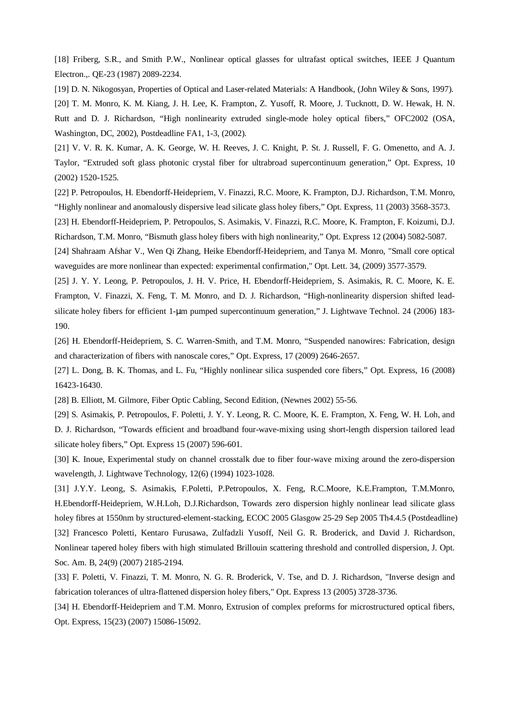[18] Friberg, S.R., and Smith P.W., Nonlinear optical glasses for ultrafast optical switches, IEEE J Quantum Electron.,. QE-23 (1987) 2089-2234.

[19] D. N. Nikogosyan, Properties of Optical and Laser-related Materials: A Handbook, (John Wiley & Sons, 1997). [20] T. M. Monro, K. M. Kiang, J. H. Lee, K. Frampton, Z. Yusoff, R. Moore, J. Tucknott, D. W. Hewak, H. N. Rutt and D. J. Richardson, "High nonlinearity extruded single-mode holey optical fibers," OFC2002 (OSA, Washington, DC, 2002), Postdeadline FA1, 1-3, (2002).

[21] V. V. R. K. Kumar, A. K. George, W. H. Reeves, J. C. Knight, P. St. J. Russell, F. G. Omenetto, and A. J. Taylor, "Extruded soft glass photonic crystal fiber for ultrabroad supercontinuum generation," Opt. Express, 10 (2002) 1520-1525.

[22] P. Petropoulos, H. Ebendorff-Heidepriem, V. Finazzi, R.C. Moore, K. Frampton, D.J. Richardson, T.M. Monro, "Highly nonlinear and anomalously dispersive lead silicate glass holey fibers," Opt. Express, 11 (2003) 3568-3573.

[23] H. Ebendorff-Heidepriem, P. Petropoulos, S. Asimakis, V. Finazzi, R.C. Moore, K. Frampton, F. Koizumi, D.J. Richardson, T.M. Monro, "Bismuth glass holey fibers with high nonlinearity," Opt. Express 12 (2004) 5082-5087.

[24] Shahraam Afshar V., Wen Qi Zhang, Heike Ebendorff-Heidepriem, and Tanya M. Monro, "Small core optical waveguides are more nonlinear than expected: experimental confirmation," Opt. Lett. 34, (2009) 3577-3579.

[25] J. Y. Y. Leong, P. Petropoulos, J. H. V. Price, H. Ebendorff-Heidepriem, S. Asimakis, R. C. Moore, K. E. Frampton, V. Finazzi, X. Feng, T. M. Monro, and D. J. Richardson, "High-nonlinearity dispersion shifted leadsilicate holey fibers for efficient 1-µm pumped supercontinuum generation," J. Lightwave Technol. 24 (2006) 183- 190.

[26] H. Ebendorff-Heidepriem, S. C. Warren-Smith, and T.M. Monro, "Suspended nanowires: Fabrication, design and characterization of fibers with nanoscale cores," Opt. Express, 17 (2009) 2646-2657.

[27] L. Dong, B. K. Thomas, and L. Fu, "Highly nonlinear silica suspended core fibers," Opt. Express, 16 (2008) 16423-16430.

[28] B. Elliott, M. Gilmore, Fiber Optic Cabling, Second Edition, (Newnes 2002) 55-56.

[29] S. Asimakis, P. Petropoulos, F. Poletti, J. Y. Y. Leong, R. C. Moore, K. E. Frampton, X. Feng, W. H. Loh, and D. J. Richardson, "Towards efficient and broadband four-wave-mixing using short-length dispersion tailored lead silicate holey fibers," Opt. Express 15 (2007) 596-601.

[30] K. Inoue, Experimental study on channel crosstalk due to fiber four-wave mixing around the zero-dispersion wavelength, J. Lightwave Technology, 12(6) (1994) 1023-1028.

[31] J.Y.Y. Leong, S. Asimakis, F.Poletti, P.Petropoulos, X. Feng, R.C.Moore, K.E.Frampton, T.M.Monro, H.Ebendorff-Heidepriem, W.H.Loh, D.J.Richardson, Towards zero dispersion highly nonlinear lead silicate glass holey fibres at 1550nm by structured-element-stacking, ECOC 2005 Glasgow 25-29 Sep 2005 Th4.4.5 (Postdeadline) [32] Francesco Poletti, Kentaro Furusawa, Zulfadzli Yusoff, Neil G. R. Broderick, and David J. Richardson, Nonlinear tapered holey fibers with high stimulated Brillouin scattering threshold and controlled dispersion, J. Opt. Soc. Am. B, 24(9) (2007) 2185-2194.

[33] F. Poletti, V. Finazzi, T. M. Monro, N. G. R. Broderick, V. Tse, and D. J. Richardson, "Inverse design and fabrication tolerances of ultra-flattened dispersion holey fibers," Opt. Express 13 (2005) 3728-3736.

[34] H. Ebendorff-Heidepriem and T.M. Monro, Extrusion of complex preforms for microstructured optical fibers, Opt. Express, 15(23) (2007) 15086-15092.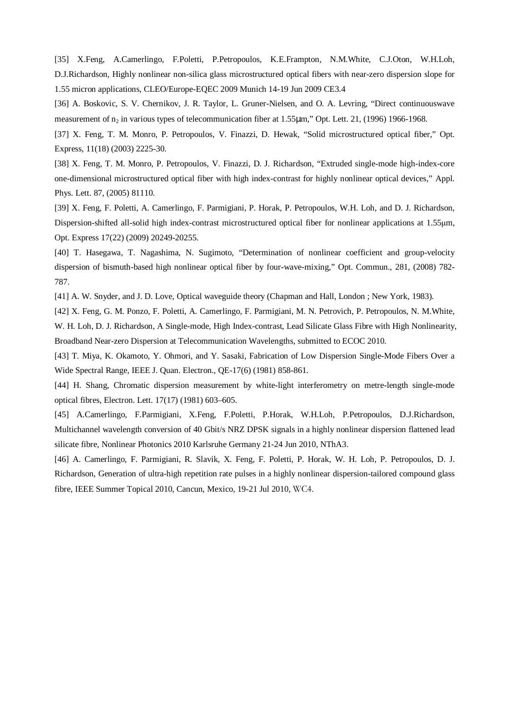[35] X.Feng, A.Camerlingo, F.Poletti, P.Petropoulos, K.E.Frampton, N.M.White, C.J.Oton, W.H.Loh, D.J.Richardson, Highly nonlinear non-silica glass microstructured optical fibers with near-zero dispersion slope for 1.55 micron applications, CLEO/Europe-EQEC 2009 Munich 14-19 Jun 2009 CE3.4

[36] A. Boskovic, S. V. Chernikov, J. R. Taylor, L. Gruner-Nielsen, and O. A. Levring, "Direct continuouswave measurement of  $n_2$  in various types of telecommunication fiber at 1.55 $\mu$ m," Opt. Lett. 21, (1996) 1966-1968.

[37] X. Feng, T. M. Monro, P. Petropoulos, V. Finazzi, D. Hewak, "Solid microstructured optical fiber," Opt. Express, 11(18) (2003) 2225-30.

[38] X. Feng, T. M. Monro, P. Petropoulos, V. Finazzi, D. J. Richardson, "Extruded single-mode high-index-core one-dimensional microstructured optical fiber with high index-contrast for highly nonlinear optical devices," Appl. Phys. Lett. 87, (2005) 81110.

[39] X. Feng, F. Poletti, A. Camerlingo, F. Parmigiani, P. Horak, P. Petropoulos, W.H. Loh, and D. J. Richardson, Dispersion-shifted all-solid high index-contrast microstructured optical fiber for nonlinear applications at 1.55µm, Opt. Express 17(22) (2009) 20249-20255.

[40] T. Hasegawa, T. Nagashima, N. Sugimoto, "Determination of nonlinear coefficient and group-velocity dispersion of bismuth-based high nonlinear optical fiber by four-wave-mixing," Opt. Commun., 281, (2008) 782- 787.

[41] A. W. Snyder, and J. D. Love, Optical waveguide theory (Chapman and Hall, London ; New York, 1983).

[42] X. Feng, G. M. Ponzo, F. Poletti, A. Camerlingo, F. Parmigiani, M. N. Petrovich, P. Petropoulos, N. M.White, W. H. Loh, D. J. Richardson, A Single-mode, High Index-contrast, Lead Silicate Glass Fibre with High Nonlinearity, Broadband Near-zero Dispersion at Telecommunication Wavelengths, submitted to ECOC 2010.

[43] T. Miya, K. Okamoto, Y. Ohmori, and Y. Sasaki, Fabrication of Low Dispersion Single-Mode Fibers Over a Wide Spectral Range, IEEE J. Quan. Electron., QE-17(6) (1981) 858-861.

[44] H. Shang, Chromatic dispersion measurement by white-light interferometry on metre-length single-mode optical fibres, Electron. Lett. 17(17) (1981) 603–605.

[45] A.Camerlingo, F.Parmigiani, X.Feng, F.Poletti, P.Horak, W.H.Loh, P.Petropoulos, D.J.Richardson, Multichannel wavelength conversion of 40 Gbit/s NRZ DPSK signals in a highly nonlinear dispersion flattened lead silicate fibre, Nonlinear Photonics 2010 Karlsruhe Germany 21-24 Jun 2010, NThA3.

[46] A. Camerlingo, F. Parmigiani, R. Slavik, X. Feng, F. Poletti, P. Horak, W. H. Loh, P. Petropoulos, D. J. Richardson, Generation of ultra-high repetition rate pulses in a highly nonlinear dispersion-tailored compound glass fibre, IEEE Summer Topical 2010, Cancun, Mexico, 19-21 Jul 2010, WC4.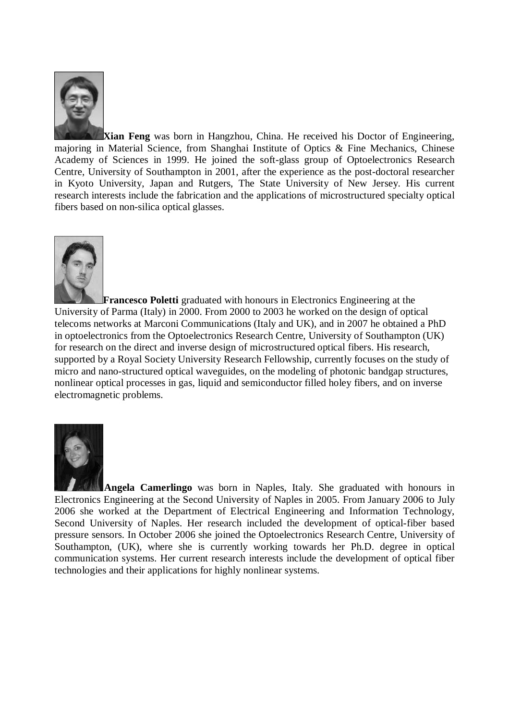

**Xian Feng** was born in Hangzhou, China. He received his Doctor of Engineering, majoring in Material Science, from Shanghai Institute of Optics & Fine Mechanics, Chinese Academy of Sciences in 1999. He joined the soft-glass group of Optoelectronics Research Centre, University of Southampton in 2001, after the experience as the post-doctoral researcher in Kyoto University, Japan and Rutgers, The State University of New Jersey. His current research interests include the fabrication and the applications of microstructured specialty optical fibers based on non-silica optical glasses.



**Francesco Poletti** graduated with honours in Electronics Engineering at the University of Parma (Italy) in 2000. From 2000 to 2003 he worked on the design of optical telecoms networks at Marconi Communications (Italy and UK), and in 2007 he obtained a PhD in optoelectronics from the Optoelectronics Research Centre, University of Southampton (UK) for research on the direct and inverse design of microstructured optical fibers. His research, supported by a Royal Society University Research Fellowship, currently focuses on the study of micro and nano-structured optical waveguides, on the modeling of photonic bandgap structures, nonlinear optical processes in gas, liquid and semiconductor filled holey fibers, and on inverse electromagnetic problems.



**Angela Camerlingo** was born in Naples, Italy. She graduated with honours in Electronics Engineering at the Second University of Naples in 2005. From January 2006 to July 2006 she worked at the Department of Electrical Engineering and Information Technology, Second University of Naples. Her research included the development of optical-fiber based pressure sensors. In October 2006 she joined the Optoelectronics Research Centre, University of Southampton, (UK), where she is currently working towards her Ph.D. degree in optical communication systems. Her current research interests include the development of optical fiber technologies and their applications for highly nonlinear systems.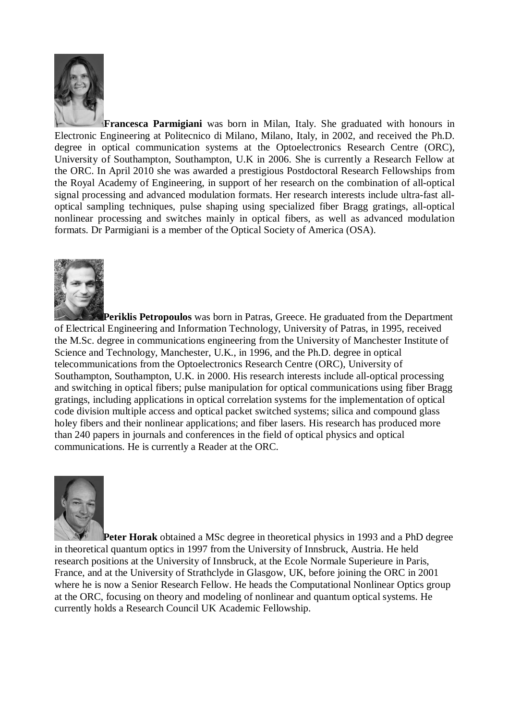

**Francesca Parmigiani** was born in Milan, Italy. She graduated with honours in Electronic Engineering at Politecnico di Milano, Milano, Italy, in 2002, and received the Ph.D. degree in optical communication systems at the Optoelectronics Research Centre (ORC), University of Southampton, Southampton, U.K in 2006. She is currently a Research Fellow at the ORC. In April 2010 she was awarded a prestigious Postdoctoral Research Fellowships from the Royal Academy of Engineering, in support of her research on the combination of all-optical signal processing and advanced modulation formats. Her research interests include ultra-fast alloptical sampling techniques, pulse shaping using specialized fiber Bragg gratings, all-optical nonlinear processing and switches mainly in optical fibers, as well as advanced modulation formats. Dr Parmigiani is a member of the Optical Society of America (OSA).



**Periklis Petropoulos** was born in Patras, Greece. He graduated from the Department of Electrical Engineering and Information Technology, University of Patras, in 1995, received the M.Sc. degree in communications engineering from the University of Manchester Institute of Science and Technology, Manchester, U.K., in 1996, and the Ph.D. degree in optical telecommunications from the Optoelectronics Research Centre (ORC), University of Southampton, Southampton, U.K. in 2000. His research interests include all-optical processing and switching in optical fibers; pulse manipulation for optical communications using fiber Bragg gratings, including applications in optical correlation systems for the implementation of optical code division multiple access and optical packet switched systems; silica and compound glass holey fibers and their nonlinear applications; and fiber lasers. His research has produced more than 240 papers in journals and conferences in the field of optical physics and optical communications. He is currently a Reader at the ORC.



**Peter Horak** obtained a MSc degree in theoretical physics in 1993 and a PhD degree in theoretical quantum optics in 1997 from the University of Innsbruck, Austria. He held research positions at the University of Innsbruck, at the Ecole Normale Superieure in Paris, France, and at the University of Strathclyde in Glasgow, UK, before joining the ORC in 2001 where he is now a Senior Research Fellow. He heads the Computational Nonlinear Optics group at the ORC, focusing on theory and modeling of nonlinear and quantum optical systems. He currently holds a Research Council UK Academic Fellowship.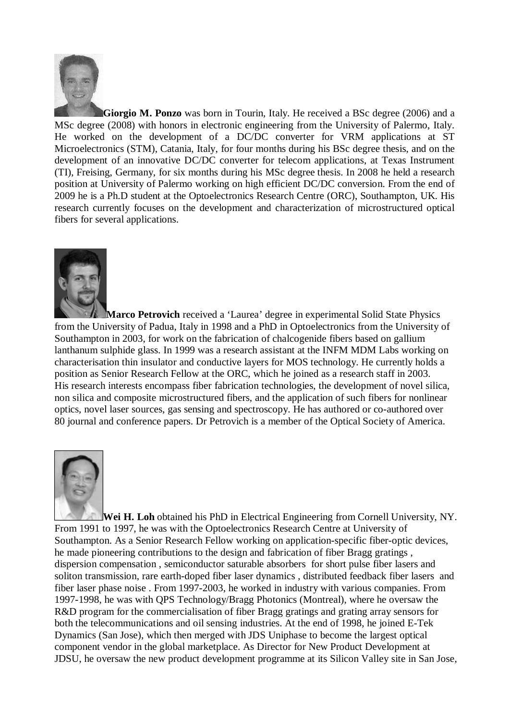

**Giorgio M. Ponzo** was born in Tourin, Italy. He received a BSc degree (2006) and a MSc degree (2008) with honors in electronic engineering from the University of Palermo, Italy. He worked on the development of a DC/DC converter for VRM applications at ST Microelectronics (STM), Catania, Italy, for four months during his BSc degree thesis, and on the development of an innovative DC/DC converter for telecom applications, at Texas Instrument (TI), Freising, Germany, for six months during his MSc degree thesis. In 2008 he held a research position at University of Palermo working on high efficient DC/DC conversion. From the end of 2009 he is a Ph.D student at the Optoelectronics Research Centre (ORC), Southampton, UK. His research currently focuses on the development and characterization of microstructured optical fibers for several applications.



**Marco Petrovich** received a 'Laurea' degree in experimental Solid State Physics from the University of Padua, Italy in 1998 and a PhD in Optoelectronics from the University of Southampton in 2003, for work on the fabrication of chalcogenide fibers based on gallium lanthanum sulphide glass. In 1999 was a research assistant at the INFM MDM Labs working on characterisation thin insulator and conductive layers for MOS technology. He currently holds a position as Senior Research Fellow at the ORC, which he joined as a research staff in 2003. His research interests encompass fiber fabrication technologies, the development of novel silica, non silica and composite microstructured fibers, and the application of such fibers for nonlinear optics, novel laser sources, gas sensing and spectroscopy. He has authored or co-authored over 80 journal and conference papers. Dr Petrovich is a member of the Optical Society of America.



**Wei H. Loh** obtained his PhD in Electrical Engineering from Cornell University, NY. From 1991 to 1997, he was with the Optoelectronics Research Centre at University of Southampton. As a Senior Research Fellow working on application-specific fiber-optic devices, he made pioneering contributions to the design and fabrication of fiber Bragg gratings , dispersion compensation , semiconductor saturable absorbers for short pulse fiber lasers and soliton transmission, rare earth-doped fiber laser dynamics , distributed feedback fiber lasers and fiber laser phase noise . From 1997-2003, he worked in industry with various companies. From 1997-1998, he was with QPS Technology/Bragg Photonics (Montreal), where he oversaw the R&D program for the commercialisation of fiber Bragg gratings and grating array sensors for both the telecommunications and oil sensing industries. At the end of 1998, he joined E-Tek Dynamics (San Jose), which then merged with JDS Uniphase to become the largest optical component vendor in the global marketplace. As Director for New Product Development at JDSU, he oversaw the new product development programme at its Silicon Valley site in San Jose,